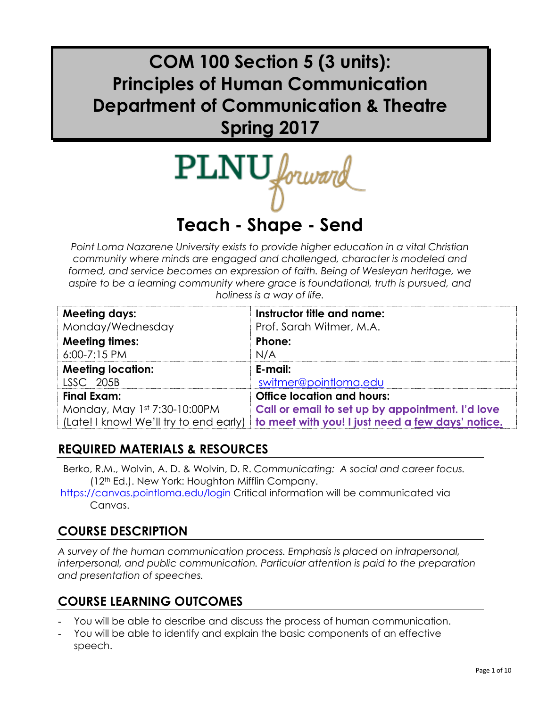# **COM 100 Section 5 (3 units): Principles of Human Communication Department of Communication & Theatre Spring 2017**

 $\text{PLNU}_{\text{forward}}$ 

# **Teach - Shape - Send**

*Point Loma Nazarene University exists to provide higher education in a vital Christian community where minds are engaged and challenged, character is modeled and formed, and service becomes an expression of faith. Being of Wesleyan heritage, we aspire to be a learning community where grace is foundational, truth is pursued, and holiness is a way of life.*

| <b>Meeting days:</b>                                   | Instructor title and name:                        |
|--------------------------------------------------------|---------------------------------------------------|
| Monday/Wednesday                                       | Prof. Sarah Witmer, M.A.                          |
| <b>Meeting times:</b>                                  | Phone:                                            |
| $6:00 - 7:15$ PM                                       | N/A                                               |
| <b>Meeting location:</b>                               | E-mail:                                           |
| <b>LSSC 205B</b>                                       | switmer@pointloma.edu                             |
| <b>Final Exam:</b>                                     | <b>Office location and hours:</b>                 |
| Monday, May 1st 7:30-10:00PM                           | Call or email to set up by appointment. I'd love  |
| $\vert$ (Late! I know! We'll try to end early) $\vert$ | to meet with you! I just need a few days' notice. |

### **REQUIRED MATERIALS & RESOURCES**

- Berko, R.M., Wolvin, A. D. & Wolvin, D. R. *Communicating: A social and career focus.* (12th Ed.). New York: Houghton Mifflin Company.
- https://canvas.pointloma.edu/login Critical information will be communicated via Canvas.

# **COURSE DESCRIPTION**

*A survey of the human communication process. Emphasis is placed on intrapersonal, interpersonal, and public communication. Particular attention is paid to the preparation and presentation of speeches.*

# **COURSE LEARNING OUTCOMES**

- You will be able to describe and discuss the process of human communication.
- You will be able to identify and explain the basic components of an effective speech.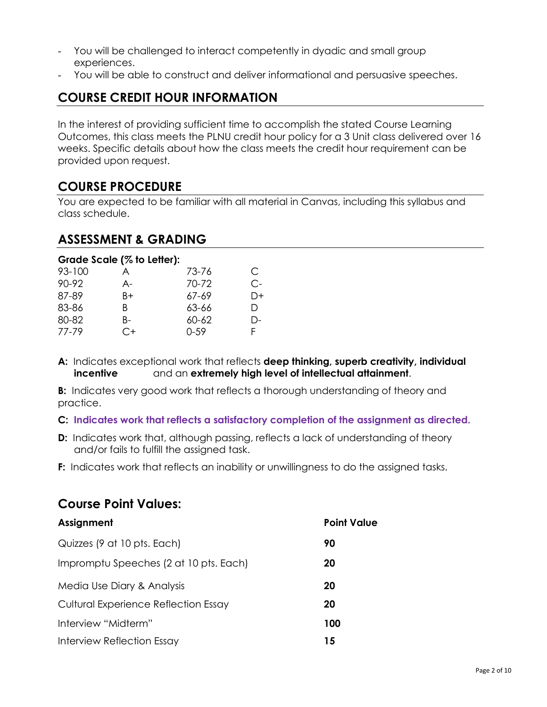- You will be challenged to interact competently in dyadic and small group experiences.
- You will be able to construct and deliver informational and persuasive speeches.

# **COURSE CREDIT HOUR INFORMATION**

In the interest of providing sufficient time to accomplish the stated Course Learning Outcomes, this class meets the PLNU credit hour policy for a 3 Unit class delivered over 16 weeks. Specific details about how the class meets the credit hour requirement can be provided upon request.

### **COURSE PROCEDURE**

You are expected to be familiar with all material in Canvas, including this syllabus and class schedule.

### **ASSESSMENT & GRADING**

|        | Grade Scale (% to Letter): |          |      |
|--------|----------------------------|----------|------|
| 93-100 | A                          | 73-76    | C    |
| 90-92  | A-                         | 70-72    | $C-$ |
| 87-89  | B+                         | 67-69    | D+   |
| 83-86  | В                          | 63-66    | D    |
| 80-82  | B-                         | 60-62    | D-   |
| 77-79  | C+                         | $0 - 59$ | F    |

**A:** Indicates exceptional work that reflects **deep thinking, superb creativity, individual incentive** and an **extremely high level of intellectual attainment**.

**B:** Indicates very good work that reflects a thorough understanding of theory and practice.

#### **C: Indicates work that reflects a satisfactory completion of the assignment as directed.**

- **D:** Indicates work that, although passing, reflects a lack of understanding of theory and/or fails to fulfill the assigned task.
- **F:** Indicates work that reflects an inability or unwillingness to do the assigned tasks.

| COUPLE I VIIII TUIUCS.                      |                    |
|---------------------------------------------|--------------------|
| Assignment                                  | <b>Point Value</b> |
| Quizzes (9 at 10 pts. Each)                 | 90                 |
| Impromptu Speeches (2 at 10 pts. Each)      | 20                 |
| Media Use Diary & Analysis                  | 20                 |
| <b>Cultural Experience Reflection Essay</b> | 20                 |
| Interview "Midterm"                         | 100                |
| Interview Reflection Essay                  | 15                 |

### **Course Point Values:**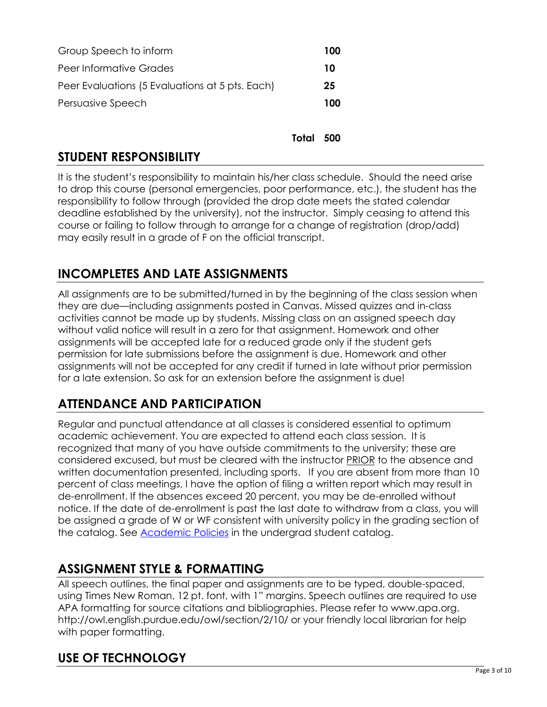| Group Speech to inform                          | 100 |
|-------------------------------------------------|-----|
| Peer Informative Grades                         | 10  |
| Peer Evaluations (5 Evaluations at 5 pts. Each) | 25  |
| Persuasive Speech                               | 100 |
|                                                 |     |

**Total 500**

### **STUDENT RESPONSIBILITY**

It is the student's responsibility to maintain his/her class schedule. Should the need arise to drop this course (personal emergencies, poor performance, etc.), the student has the responsibility to follow through (provided the drop date meets the stated calendar deadline established by the university), not the instructor. Simply ceasing to attend this course or failing to follow through to arrange for a change of registration (drop/add) may easily result in a grade of F on the official transcript.

### **INCOMPLETES AND LATE ASSIGNMENTS**

All assignments are to be submitted/turned in by the beginning of the class session when they are due—including assignments posted in Canvas. Missed quizzes and in-class activities cannot be made up by students. Missing class on an assigned speech day without valid notice will result in a zero for that assignment. Homework and other assignments will be accepted late for a reduced grade only if the student gets permission for late submissions before the assignment is due. Homework and other assignments will not be accepted for any credit if turned in late without prior permission for a late extension. So ask for an extension before the assignment is due!

# **ATTENDANCE AND PARTICIPATION**

Regular and punctual attendance at all classes is considered essential to optimum academic achievement. You are expected to attend each class session. It is recognized that many of you have outside commitments to the university; these are considered excused, but must be cleared with the instructor PRIOR to the absence and written documentation presented, including sports. If you are absent from more than 10 percent of class meetings, I have the option of filing a written report which may result in de-enrollment. If the absences exceed 20 percent, you may be de-enrolled without notice. If the date of de-enrollment is past the last date to withdraw from a class, you will be assigned a grade of W or WF consistent with university policy in the grading section of the catalog. See [Academic Policies](http://www.pointloma.edu/experience/academics/catalogs/undergraduate-catalog/point-loma-education/academic-policies) in the undergrad student catalog.

### **ASSIGNMENT STYLE & FORMATTING**

All speech outlines, the final paper and assignments are to be typed, double-spaced, using Times New Roman, 12 pt. font, with 1" margins. Speech outlines are required to use APA formatting for source citations and bibliographies. Please refer to www.apa.org, http://owl.english.purdue.edu/owl/section/2/10/ or your friendly local librarian for help with paper formatting.

# **USE OF TECHNOLOGY**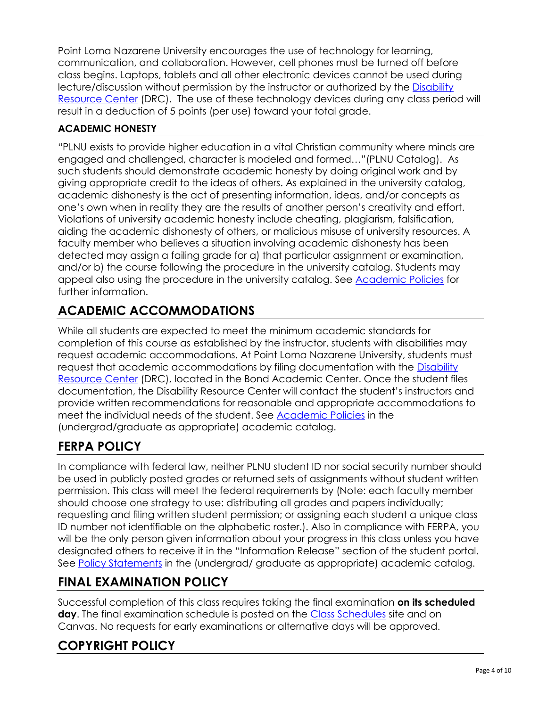Point Loma Nazarene University encourages the use of technology for learning, communication, and collaboration. However, cell phones must be turned off before class begins. Laptops, tablets and all other electronic devices cannot be used during lecture/discussion without permission by the instructor or authorized by the [Disability](http://www.pointloma.edu/experience/offices/administrative-offices/academic-advising-office/disability-resource-center)  [Resource Center](http://www.pointloma.edu/experience/offices/administrative-offices/academic-advising-office/disability-resource-center) (DRC). The use of these technology devices during any class period will result in a deduction of 5 points (per use) toward your total grade.

### **ACADEMIC HONESTY**

"PLNU exists to provide higher education in a vital Christian community where minds are engaged and challenged, character is modeled and formed…"(PLNU Catalog). As such students should demonstrate academic honesty by doing original work and by giving appropriate credit to the ideas of others. As explained in the university catalog, academic dishonesty is the act of presenting information, ideas, and/or concepts as one's own when in reality they are the results of another person's creativity and effort. Violations of university academic honesty include cheating, plagiarism, falsification, aiding the academic dishonesty of others, or malicious misuse of university resources. A faculty member who believes a situation involving academic dishonesty has been detected may assign a failing grade for a) that particular assignment or examination, and/or b) the course following the procedure in the university catalog. Students may appeal also using the procedure in the university catalog. See **Academic Policies** for further information.

# **ACADEMIC ACCOMMODATIONS**

While all students are expected to meet the minimum academic standards for completion of this course as established by the instructor, students with disabilities may request academic accommodations. At Point Loma Nazarene University, students must request that academic accommodations by filing documentation with the [Disability](http://www.pointloma.edu/experience/offices/administrative-offices/academic-advising-office/disability-resource-center)  [Resource Center](http://www.pointloma.edu/experience/offices/administrative-offices/academic-advising-office/disability-resource-center) (DRC), located in the Bond Academic Center. Once the student files documentation, the Disability Resource Center will contact the student's instructors and provide written recommendations for reasonable and appropriate accommodations to meet the individual needs of the student. See [Academic Policies](http://www.pointloma.edu/experience/academics/catalogs/undergraduate-catalog/point-loma-education/academic-policies) in the (undergrad/graduate as appropriate) academic catalog.

# **FERPA POLICY**

In compliance with federal law, neither PLNU student ID nor social security number should be used in publicly posted grades or returned sets of assignments without student written permission. This class will meet the federal requirements by (Note: each faculty member should choose one strategy to use: distributing all grades and papers individually; requesting and filing written student permission; or assigning each student a unique class ID number not identifiable on the alphabetic roster.). Also in compliance with FERPA, you will be the only person given information about your progress in this class unless you have designated others to receive it in the "Information Release" section of the student portal. See [Policy Statements](http://www.pointloma.edu/experience/academics/catalogs/undergraduate-catalog/policy-statements) in the (undergrad/ graduate as appropriate) academic catalog.

# **FINAL EXAMINATION POLICY**

Successful completion of this class requires taking the final examination **on its scheduled day**. The final examination schedule is posted on the [Class Schedules](http://www.pointloma.edu/experience/academics/class-schedules) site and on Canvas. No requests for early examinations or alternative days will be approved.

# **COPYRIGHT POLICY**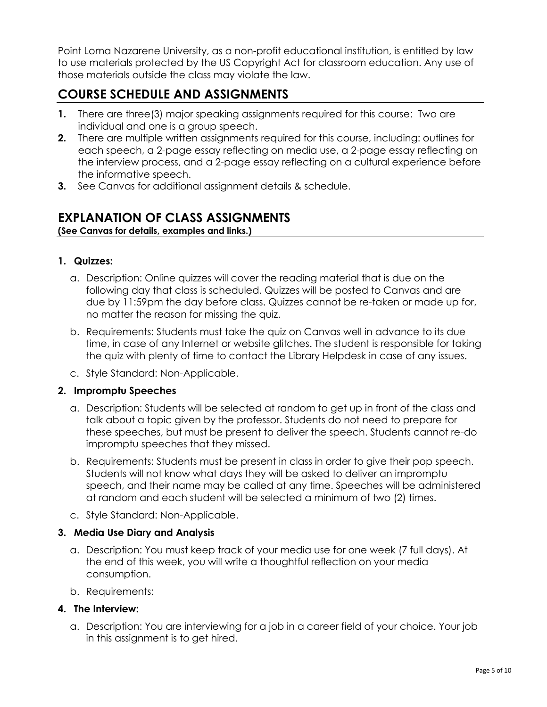Point Loma Nazarene University, as a non-profit educational institution, is entitled by law to use materials protected by the US Copyright Act for classroom education. Any use of those materials outside the class may violate the law.

# **COURSE SCHEDULE AND ASSIGNMENTS**

- **1.** There are three(3) major speaking assignments required for this course: Two are individual and one is a group speech.
- **2.** There are multiple written assignments required for this course, including: outlines for each speech, a 2-page essay reflecting on media use, a 2-page essay reflecting on the interview process, and a 2-page essay reflecting on a cultural experience before the informative speech.
- **3.** See Canvas for additional assignment details & schedule.

### **EXPLANATION OF CLASS ASSIGNMENTS**

**(See Canvas for details, examples and links.)**

#### **1. Quizzes:**

- a. Description: Online quizzes will cover the reading material that is due on the following day that class is scheduled. Quizzes will be posted to Canvas and are due by 11:59pm the day before class. Quizzes cannot be re-taken or made up for, no matter the reason for missing the quiz.
- b. Requirements: Students must take the quiz on Canvas well in advance to its due time, in case of any Internet or website glitches. The student is responsible for taking the quiz with plenty of time to contact the Library Helpdesk in case of any issues.
- c. Style Standard: Non-Applicable.

### **2. Impromptu Speeches**

- a. Description: Students will be selected at random to get up in front of the class and talk about a topic given by the professor. Students do not need to prepare for these speeches, but must be present to deliver the speech. Students cannot re-do impromptu speeches that they missed.
- b. Requirements: Students must be present in class in order to give their pop speech. Students will not know what days they will be asked to deliver an impromptu speech, and their name may be called at any time. Speeches will be administered at random and each student will be selected a minimum of two (2) times.
- c. Style Standard: Non-Applicable.

### **3. Media Use Diary and Analysis**

- a. Description: You must keep track of your media use for one week (7 full days). At the end of this week, you will write a thoughtful reflection on your media consumption.
- b. Requirements:

### **4. The Interview:**

a. Description: You are interviewing for a job in a career field of your choice. Your job in this assignment is to get hired.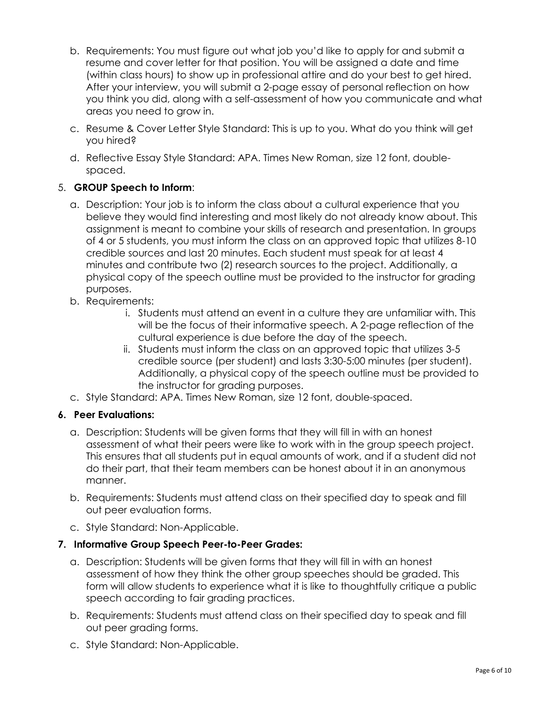- b. Requirements: You must figure out what job you'd like to apply for and submit a resume and cover letter for that position. You will be assigned a date and time (within class hours) to show up in professional attire and do your best to get hired. After your interview, you will submit a 2-page essay of personal reflection on how you think you did, along with a self-assessment of how you communicate and what areas you need to grow in.
- c. Resume & Cover Letter Style Standard: This is up to you. What do you think will get you hired?
- d. Reflective Essay Style Standard: APA. Times New Roman, size 12 font, doublespaced.

### 5. **GROUP Speech to Inform**:

- a. Description: Your job is to inform the class about a cultural experience that you believe they would find interesting and most likely do not already know about. This assignment is meant to combine your skills of research and presentation. In groups of 4 or 5 students, you must inform the class on an approved topic that utilizes 8-10 credible sources and last 20 minutes. Each student must speak for at least 4 minutes and contribute two (2) research sources to the project. Additionally, a physical copy of the speech outline must be provided to the instructor for grading purposes.
- b. Requirements:
	- i. Students must attend an event in a culture they are unfamiliar with. This will be the focus of their informative speech. A 2-page reflection of the cultural experience is due before the day of the speech.
	- ii. Students must inform the class on an approved topic that utilizes 3-5 credible source (per student) and lasts 3:30-5:00 minutes (per student). Additionally, a physical copy of the speech outline must be provided to the instructor for grading purposes.
- c. Style Standard: APA. Times New Roman, size 12 font, double-spaced.

### **6. Peer Evaluations:**

- a. Description: Students will be given forms that they will fill in with an honest assessment of what their peers were like to work with in the group speech project. This ensures that all students put in equal amounts of work, and if a student did not do their part, that their team members can be honest about it in an anonymous manner.
- b. Requirements: Students must attend class on their specified day to speak and fill out peer evaluation forms.
- c. Style Standard: Non-Applicable.

### **7. Informative Group Speech Peer-to-Peer Grades:**

- a. Description: Students will be given forms that they will fill in with an honest assessment of how they think the other group speeches should be graded. This form will allow students to experience what it is like to thoughtfully critique a public speech according to fair grading practices.
- b. Requirements: Students must attend class on their specified day to speak and fill out peer grading forms.
- c. Style Standard: Non-Applicable.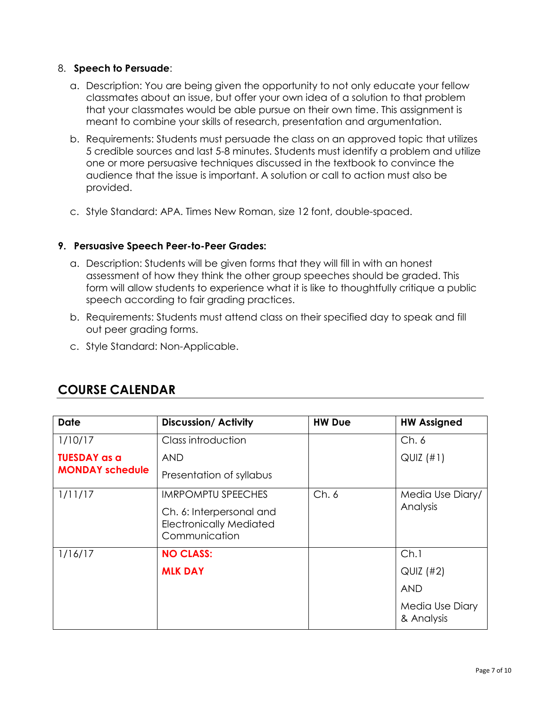#### 8. **Speech to Persuade**:

- a. Description: You are being given the opportunity to not only educate your fellow classmates about an issue, but offer your own idea of a solution to that problem that your classmates would be able pursue on their own time. This assignment is meant to combine your skills of research, presentation and argumentation.
- b. Requirements: Students must persuade the class on an approved topic that utilizes 5 credible sources and last 5-8 minutes. Students must identify a problem and utilize one or more persuasive techniques discussed in the textbook to convince the audience that the issue is important. A solution or call to action must also be provided.
- c. Style Standard: APA. Times New Roman, size 12 font, double-spaced.

#### **9. Persuasive Speech Peer-to-Peer Grades:**

- a. Description: Students will be given forms that they will fill in with an honest assessment of how they think the other group speeches should be graded. This form will allow students to experience what it is like to thoughtfully critique a public speech according to fair grading practices.
- b. Requirements: Students must attend class on their specified day to speak and fill out peer grading forms.
- c. Style Standard: Non-Applicable.

| <b>Date</b>                                   | <b>Discussion/Activity</b>                                                  | <b>HW Due</b> | <b>HW Assigned</b>            |
|-----------------------------------------------|-----------------------------------------------------------------------------|---------------|-------------------------------|
| 1/10/17                                       | Class introduction                                                          |               | Ch.6                          |
| <b>TUESDAY as a</b><br><b>MONDAY schedule</b> | <b>AND</b>                                                                  |               | $QUIZ$ (#1)                   |
|                                               | Presentation of syllabus                                                    |               |                               |
| 1/11/17                                       | <b>IMRPOMPTU SPEECHES</b>                                                   | Ch.6          | Media Use Diary/              |
|                                               | Ch. 6: Interpersonal and<br><b>Electronically Mediated</b><br>Communication |               | Analysis                      |
| 1/16/17                                       | <b>NO CLASS:</b>                                                            |               | Ch.1                          |
|                                               | <b>MLK DAY</b>                                                              |               | QUIZ (#2)                     |
|                                               |                                                                             |               | <b>AND</b>                    |
|                                               |                                                                             |               | Media Use Diary<br>& Analysis |

### **COURSE CALENDAR**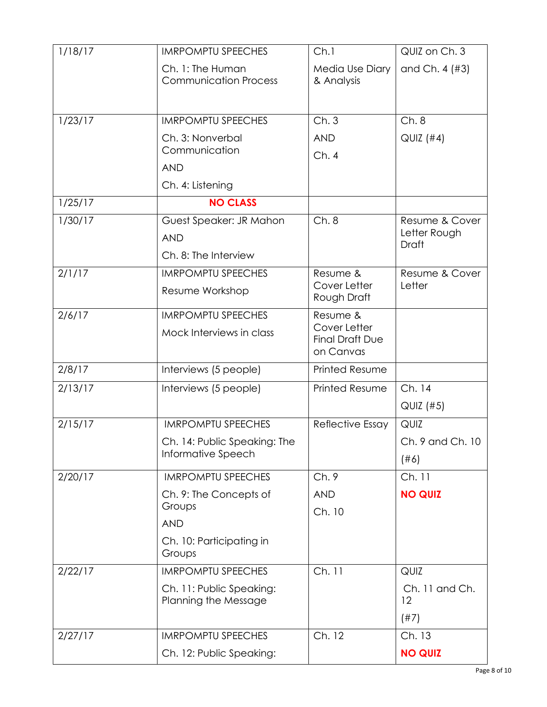| 1/18/17 | <b>IMRPOMPTU SPEECHES</b>                        | Ch.1                                   | QUIZ on Ch. 3                  |
|---------|--------------------------------------------------|----------------------------------------|--------------------------------|
|         | Ch. 1: The Human<br><b>Communication Process</b> | Media Use Diary<br>& Analysis          | and Ch. 4 (#3)                 |
|         |                                                  |                                        |                                |
| 1/23/17 | <b>IMRPOMPTU SPEECHES</b>                        | Ch.3                                   | Ch.8                           |
|         | Ch. 3: Nonverbal                                 | <b>AND</b>                             | $QUIZ$ (#4)                    |
|         | Communication                                    | Ch.4                                   |                                |
|         | <b>AND</b>                                       |                                        |                                |
|         | Ch. 4: Listening                                 |                                        |                                |
| 1/25/17 | <b>NO CLASS</b>                                  |                                        |                                |
| 1/30/17 | Guest Speaker: JR Mahon                          | Ch.8                                   | Resume & Cover<br>Letter Rough |
|         | <b>AND</b>                                       |                                        | Draft                          |
|         | Ch. 8: The Interview                             |                                        |                                |
| 2/1/17  | <b>IMRPOMPTU SPEECHES</b>                        | Resume &<br>Cover Letter               | Resume & Cover<br>Letter       |
|         | Resume Workshop                                  | Rough Draft                            |                                |
| 2/6/17  | <b>IMRPOMPTU SPEECHES</b>                        | Resume &                               |                                |
|         | Mock Interviews in class                         | Cover Letter<br><b>Final Draft Due</b> |                                |
|         |                                                  | on Canvas                              |                                |
| 2/8/17  | Interviews (5 people)                            | <b>Printed Resume</b>                  |                                |
| 2/13/17 | Interviews (5 people)                            | <b>Printed Resume</b>                  | Ch. 14                         |
|         |                                                  |                                        | QUIZ (#5)                      |
| 2/15/17 | <b>IMRPOMPTU SPEECHES</b>                        | Reflective Essay                       | QUIZ                           |
|         | Ch. 14: Public Speaking: The                     |                                        | Ch. 9 and Ch. 10               |
|         | Informative Speech                               |                                        | (#6)                           |
| 2/20/17 | <b>IMRPOMPTU SPEECHES</b>                        | Ch.9                                   | Ch. 11                         |
|         | Ch. 9: The Concepts of                           | <b>AND</b>                             | <b>NO QUIZ</b>                 |
|         | Groups                                           | Ch. 10                                 |                                |
|         | <b>AND</b>                                       |                                        |                                |
|         | Ch. 10: Participating in<br>Groups               |                                        |                                |
| 2/22/17 | <b>IMRPOMPTU SPEECHES</b>                        | Ch. 11                                 | QUIZ                           |
|         | Ch. 11: Public Speaking:<br>Planning the Message |                                        | Ch. 11 and Ch.<br>12           |
|         |                                                  |                                        | (#7)                           |
| 2/27/17 | <b>IMRPOMPTU SPEECHES</b>                        | Ch. 12                                 | Ch. 13                         |
|         | Ch. 12: Public Speaking:                         |                                        | <b>NO QUIZ</b>                 |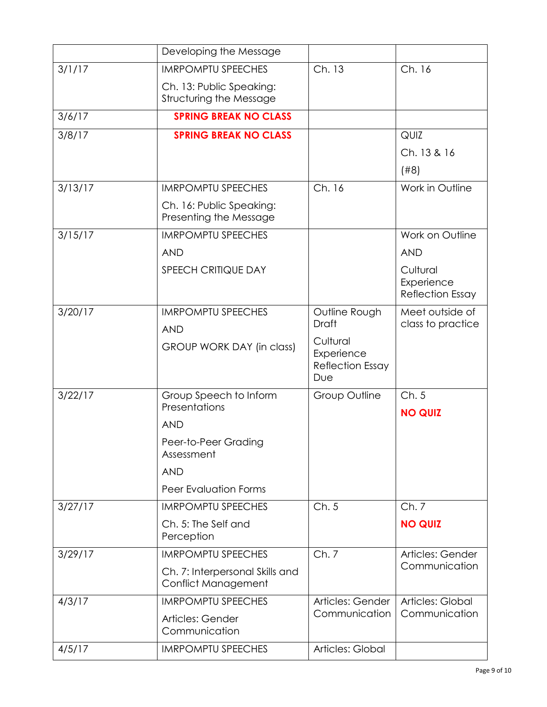|         | Developing the Message                                 |                                                          |                                                   |
|---------|--------------------------------------------------------|----------------------------------------------------------|---------------------------------------------------|
| 3/1/17  | <b>IMRPOMPTU SPEECHES</b>                              | Ch. 13                                                   | Ch. 16                                            |
|         | Ch. 13: Public Speaking:<br>Structuring the Message    |                                                          |                                                   |
| 3/6/17  | <b>SPRING BREAK NO CLASS</b>                           |                                                          |                                                   |
| 3/8/17  | <b>SPRING BREAK NO CLASS</b>                           |                                                          | QUIZ                                              |
|         |                                                        |                                                          | Ch. 13 & 16                                       |
|         |                                                        |                                                          | (#8)                                              |
| 3/13/17 | <b>IMRPOMPTU SPEECHES</b>                              | Ch. 16                                                   | Work in Outline                                   |
|         | Ch. 16: Public Speaking:<br>Presenting the Message     |                                                          |                                                   |
| 3/15/17 | <b>IMRPOMPTU SPEECHES</b>                              |                                                          | Work on Outline                                   |
|         | <b>AND</b>                                             |                                                          | <b>AND</b>                                        |
|         | <b>SPEECH CRITIQUE DAY</b>                             |                                                          | Cultural<br>Experience<br><b>Reflection Essay</b> |
| 3/20/17 | <b>IMRPOMPTU SPEECHES</b><br><b>AND</b>                | Outline Rough<br><b>Draft</b>                            | Meet outside of<br>class to practice              |
|         | GROUP WORK DAY (in class)                              | Cultural<br>Experience<br><b>Reflection Essay</b><br>Due |                                                   |
| 3/22/17 | Group Speech to Inform<br>Presentations                | Group Outline                                            | Ch.5                                              |
|         | <b>AND</b>                                             |                                                          | <b>NO QUIZ</b>                                    |
|         | Peer-to-Peer Grading<br>Assessment                     |                                                          |                                                   |
|         | <b>AND</b>                                             |                                                          |                                                   |
|         | <b>Peer Evaluation Forms</b>                           |                                                          |                                                   |
| 3/27/17 | <b>IMRPOMPTU SPEECHES</b>                              | Ch.5                                                     | Ch.7                                              |
|         | Ch. 5: The Self and<br>Perception                      |                                                          | <b>NO QUIZ</b>                                    |
| 3/29/17 | <b>IMRPOMPTU SPEECHES</b>                              | Ch.7                                                     | Articles: Gender                                  |
|         | Ch. 7: Interpersonal Skills and<br>Conflict Management |                                                          | Communication                                     |
| 4/3/17  | <b>IMRPOMPTU SPEECHES</b>                              | Articles: Gender                                         | Articles: Global                                  |
|         | Articles: Gender<br>Communication                      | Communication                                            | Communication                                     |
| 4/5/17  | <b>IMRPOMPTU SPEECHES</b>                              | Articles: Global                                         |                                                   |